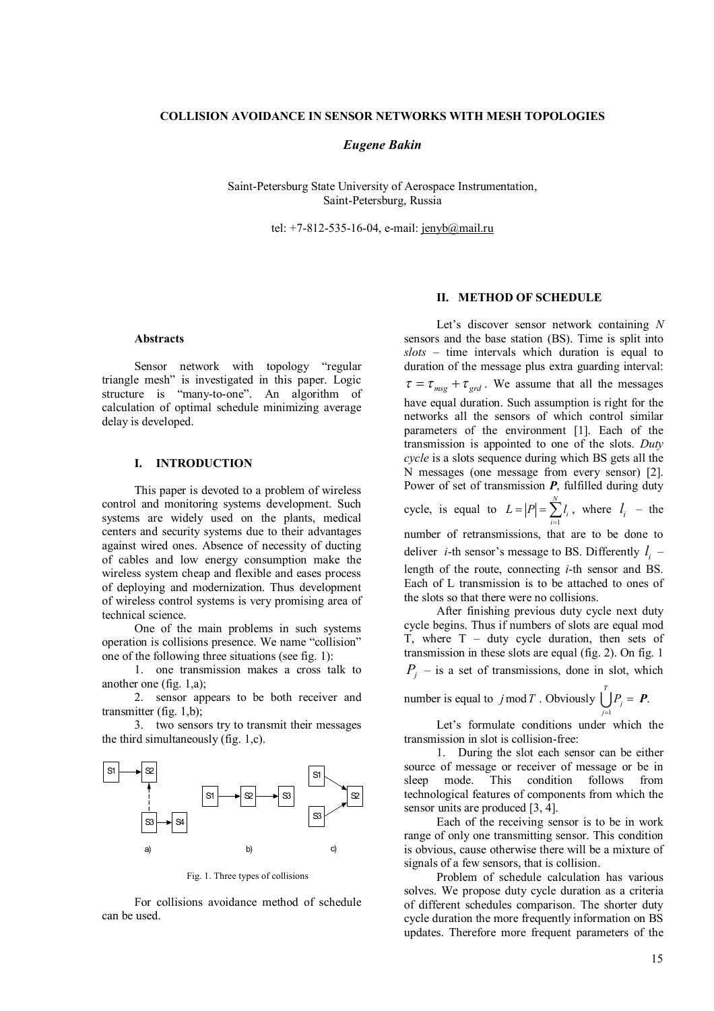### **COLLISION AVOIDANCE IN SENSOR NETWORKS WITH MESH TOPOLOGIES**

# *Eugene Bakin*

Saint-Petersburg State University оf Aerospace Instrumentation, Saint-Petersburg, Russia

tel: +7-812-535-16-04, e-mail: jenyb@mail.ru

#### **Abstracts**

Sensor network with topology "regular triangle mesh" is investigated in this paper. Logic structure is "many-to-one". An algorithm of calculation of optimal schedule minimizing average delay is developed.

# **I. INTRODUCTION**

This paper is devoted to a problem of wireless control and monitoring systems development. Such systems are widely used on the plants, medical centers and security systems due to their advantages against wired ones. Absence of necessity of ducting of cables and low energy consumption make the wireless system cheap and flexible and eases process of deploying and modernization. Thus development of wireless control systems is very promising area of technical science.

One of the main problems in such systems operation is collisions presence. We name "collision" one of the following three situations (see fig. 1):

1. one transmission makes a cross talk to another one (fig. 1,а);

2. sensor appears to be both receiver and transmitter (fig. 1,b);

3. two sensors try to transmit their messages the third simultaneously (fig. 1,с).



Fig. 1. Three types of collisions

For collisions avoidance method of schedule can be used.

### **II. METHOD OF SCHEDULE**

Let's discover sensor network containing *N* sensors and the base station (BS). Time is split into *slots* – time intervals which duration is equal to duration of the message plus extra guarding interval:  $\tau = \tau_{mg} + \tau_{grd}$ . We assume that all the messages have equal duration. Such assumption is right for the networks all the sensors of which control similar parameters of the environment [1]. Each of the transmission is appointed to one of the slots. *Duty cycle* is a slots sequence during which BS gets all the N messages (one message from every sensor) [2]. Power of set of transmission *P*, fulfilled during duty cycle, is equal to 1 *N*  $\sum_{i=1}^{l}$  $L = |P| = \sum l_i$ ,  $=$  $|P|$  =  $\sum_{i=1}^{n} l_i$ , where  $l_i$  – the number of retransmissions, that are to be done to

deliver *i*-th sensor's message to BS. Differently  $l_i$ length of the route, connecting *i*-th sensor and BS. Each of L transmission is to be attached to ones of the slots so that there were no collisions.

After finishing previous duty cycle next duty cycle begins. Thus if numbers of slots are equal mod T, where  $T - duty$  cycle duration, then sets of transmission in these slots are equal (fig. 2). On fig. 1  $P_j$  – is a set of transmissions, done in slot, which

*T*

number is equal to  $j \mod T$ . Obviously 1 *j j P*  $\bigcup_{j=1} P_j = P$ .

Let's formulate conditions under which the transmission in slot is collision-free:

1. During the slot each sensor can be either source of message or receiver of message or be in sleep mode. This condition follows from technological features of components from which the sensor units are produced [3, 4].

Each of the receiving sensor is to be in work range of only one transmitting sensor. This condition is obvious, cause otherwise there will be a mixture of signals of a few sensors, that is collision.

Problem of schedule calculation has various solves. We propose duty cycle duration as a criteria of different schedules comparison. The shorter duty cycle duration the more frequently information on BS updates. Therefore more frequent parameters of the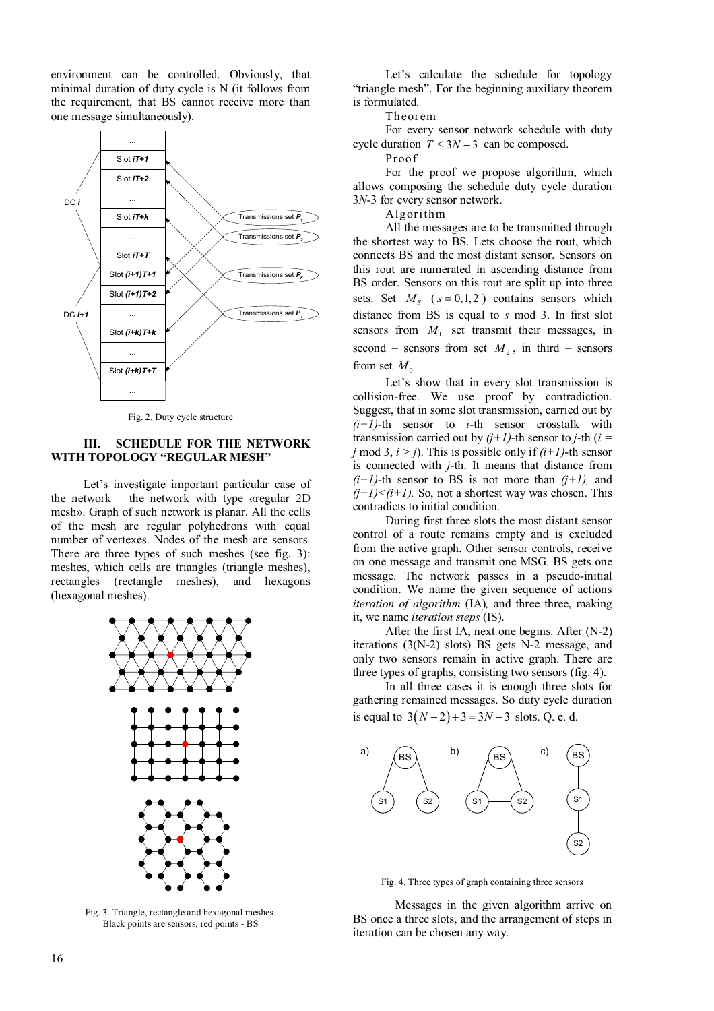environment can be controlled. Obviously, that minimal duration of duty cycle is N (it follows from the requirement, that BS cannot receive more than one message simultaneously).



Fig. 2. Duty cycle structure

# **III. SCHEDULE FOR THE NETWORK WITH TOPOLOGY "REGULAR MESH"**

Let's investigate important particular case of the network – the network with type «regular 2D mesh». Graph of such network is planar. All the cells of the mesh are regular polyhedrons with equal number of vertexes. Nodes of the mesh are sensors. There are three types of such meshes (see fig. 3): meshes, which cells are triangles (triangle meshes), rectangles (rectangle meshes), and hexagons (hexagonal meshes).



Fig. 3. Triangle, rectangle and hexagonal meshes. Black points are sensors, red points - BS

Let's calculate the schedule for topology "triangle mesh". For the beginning auxiliary theorem is formulated.

Theorem

For every sensor network schedule with duty cycle duration  $T \leq 3N - 3$  can be composed.

Proof

For the proof we propose algorithm, which allows composing the schedule duty cycle duration 3*N*-3 for every sensor network.

Algorithm

All the messages are to be transmitted through the shortest way to BS. Lets choose the rout, which connects BS and the most distant sensor. Sensors on this rout are numerated in ascending distance from BS order. Sensors on this rout are split up into three sets. Set  $M<sub>S</sub>$  ( $s = 0,1,2$ ) contains sensors which distance from BS is equal to *s* mod 3. In first slot sensors from  $M_1$  set transmit their messages, in second – sensors from set  $M_2$ , in third – sensors from set  $M_0$ 

Let's show that in every slot transmission is collision-free. We use proof by contradiction. Suggest, that in some slot transmission, carried out by  $(i+1)$ -th sensor to *i*-th sensor crosstalk with transmission carried out by  $(j+1)$ -th sensor to *j*-th ( $i =$ *j* mod 3,  $i > j$ ). This is possible only if  $(i+1)$ -th sensor is connected with *j*-th. It means that distance from  $(i+1)$ -th sensor to BS is not more than  $(j+1)$ , and  $(i+1) < (i+1)$ . So, not a shortest way was chosen. This contradicts to initial condition.

During first three slots the most distant sensor control of a route remains empty and is excluded from the active graph. Other sensor controls, receive on one message and transmit one MSG. BS gets one message. The network passes in a pseudo-initial condition. We name the given sequence of actions *iteration of algorithm* (IA)*,* and three three, making it, we name *iteration steps* (IS).

After the first IA, next one begins. After (N-2) iterations (3(N-2) slots) BS gets N-2 message, and only two sensors remain in active graph. There are three types of graphs, consisting two sensors (fig. 4).

In all three cases it is enough three slots for gathering remained messages. So duty cycle duration is equal to  $3(N-2) + 3 = 3N - 3$  slots. Q. e. d.



Fig. 4. Three types of graph containing three sensors

Messages in the given algorithm arrive on BS once a three slots, and the arrangement of steps in iteration can be chosen any way.